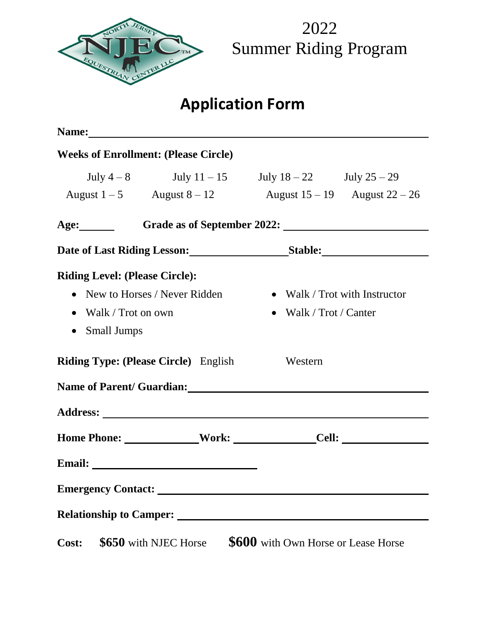

# **Application Form**

|                                                                                                                  | Name:                                       |                                                                                                               |
|------------------------------------------------------------------------------------------------------------------|---------------------------------------------|---------------------------------------------------------------------------------------------------------------|
|                                                                                                                  | <b>Weeks of Enrollment: (Please Circle)</b> |                                                                                                               |
|                                                                                                                  |                                             | July $4-8$ July $11-15$ July $18-22$ July $25-29$<br>August $1-5$ August $8-12$ August $15-19$ August $22-26$ |
|                                                                                                                  |                                             | Age: Grade as of September 2022:                                                                              |
|                                                                                                                  |                                             |                                                                                                               |
| <b>Riding Level: (Please Circle):</b><br>• New to Horses / Never Ridden<br>• Walk / Trot on own<br>• Small Jumps |                                             | • Walk / Trot with Instructor<br>• Walk / Trot / Canter                                                       |
|                                                                                                                  | <b>Riding Type: (Please Circle)</b> English | Western                                                                                                       |
|                                                                                                                  |                                             | Name of Parent/ Guardian: Name of Parent/ Guardian:                                                           |
|                                                                                                                  |                                             |                                                                                                               |
|                                                                                                                  |                                             | Home Phone: ______________Work: ________________Cell: ___________________________                             |
|                                                                                                                  |                                             |                                                                                                               |
| <b>Emergency Contact:</b>                                                                                        |                                             |                                                                                                               |
| <b>Relationship to Camper:</b>                                                                                   |                                             |                                                                                                               |
| Cost:                                                                                                            | \$650 with NJEC Horse                       | \$600 with Own Horse or Lease Horse                                                                           |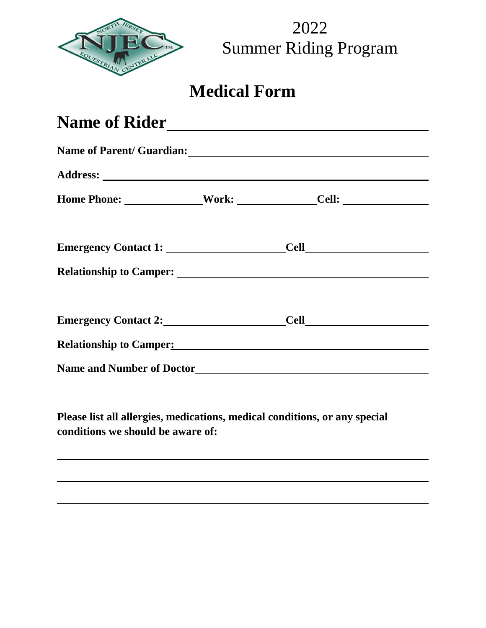

## **Medical Form**

| Name of Rider<br>Name of Parent/ Guardian: Name of Parent/ Guardian:                                                                                                                                                                |  |  |  |  |                                                                                  |  |  |  |
|-------------------------------------------------------------------------------------------------------------------------------------------------------------------------------------------------------------------------------------|--|--|--|--|----------------------------------------------------------------------------------|--|--|--|
|                                                                                                                                                                                                                                     |  |  |  |  | Home Phone: ________________Work: _________________Cell: _______________________ |  |  |  |
|                                                                                                                                                                                                                                     |  |  |  |  |                                                                                  |  |  |  |
|                                                                                                                                                                                                                                     |  |  |  |  |                                                                                  |  |  |  |
|                                                                                                                                                                                                                                     |  |  |  |  |                                                                                  |  |  |  |
| <b>Relationship to Camper:</b> Network of Campers and Campers of Campers and Campers of Campers and Campers of Campers and Campers of Campers and Campers and Campers and Campers and Campers and Campers and Campers and Campers a |  |  |  |  |                                                                                  |  |  |  |
|                                                                                                                                                                                                                                     |  |  |  |  |                                                                                  |  |  |  |

**Please list all allergies, medications, medical conditions, or any special conditions we should be aware of:**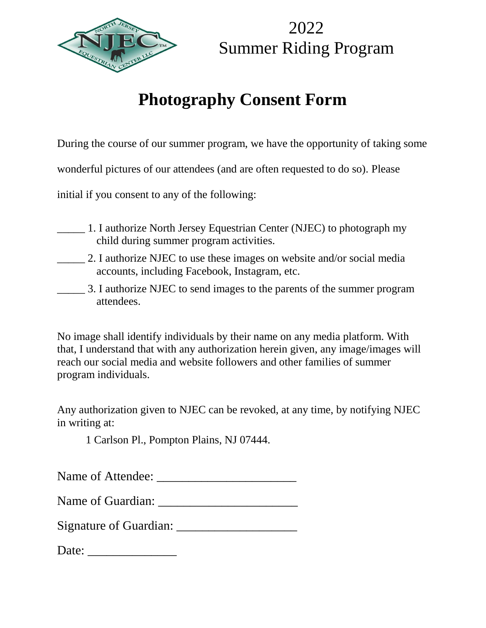

# **Photography Consent Form**

During the course of our summer program, we have the opportunity of taking some

wonderful pictures of our attendees (and are often requested to do so). Please

initial if you consent to any of the following:

- \_\_\_\_\_ 1. I authorize North Jersey Equestrian Center (NJEC) to photograph my child during summer program activities.
- \_\_\_\_\_ 2. I authorize NJEC to use these images on website and/or social media accounts, including Facebook, Instagram, etc.
- \_\_\_\_\_ 3. I authorize NJEC to send images to the parents of the summer program attendees.

No image shall identify individuals by their name on any media platform. With that, I understand that with any authorization herein given, any image/images will reach our social media and website followers and other families of summer program individuals.

Any authorization given to NJEC can be revoked, at any time, by notifying NJEC in writing at:

1 Carlson Pl., Pompton Plains, NJ 07444.

Name of Attendee: \_\_\_\_\_\_\_\_\_\_\_\_\_\_\_\_\_\_\_\_\_\_

| Name of Guardian: |
|-------------------|
|                   |

Signature of Guardian: \_\_\_\_\_\_\_\_\_\_\_\_\_\_\_\_\_\_\_

Date: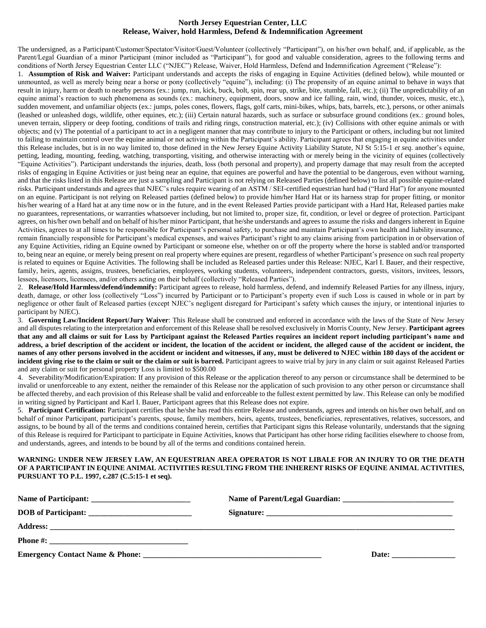### **North Jersey Equestrian Center, LLC Release, Waiver, hold Harmless, Defend & Indemnification Agreement**

The undersigned, as a Participant/Customer/Spectator/Visitor/Guest/Volunteer (collectively "Participant"), on his/her own behalf, and, if applicable, as the Parent/Legal Guardian of a minor Participant (minor included as "Participant"), for good and valuable consideration, agrees to the following terms and conditions of North Jersey Equestrian Center LLC ("NJEC") Release, Waiver, Hold Harmless, Defend and Indemnification Agreement ("Release"):

1. **Assumption of Risk and Waiver:** Participant understands and accepts the risks of engaging in Equine Activities (defined below), while mounted or unmounted, as well as merely being near a horse or pony (collectively "equine"), including: (i) The propensity of an equine animal to behave in ways that result in injury, harm or death to nearby persons (ex.: jump, run, kick, buck, bolt, spin, rear up, strike, bite, stumble, fall, etc.); (ii) The unpredictability of an equine animal's reaction to such phenomena as sounds (ex.: machinery, equipment, doors, snow and ice falling, rain, wind, thunder, voices, music, etc.), sudden movement, and unfamiliar objects (ex.: jumps, poles cones, flowers, flags, golf carts, mini-bikes, whips, bats, barrels, etc.), persons, or other animals (leashed or unleashed dogs, wildlife, other equines, etc.); (iii) Certain natural hazards, such as surface or subsurface ground conditions (ex.: ground holes, uneven terrain, slippery or deep footing, conditions of trails and riding rings, construction material, etc.); (iv) Collisions with other equine animals or with objects; and (v) The potential of a participant to act in a negligent manner that may contribute to injury to the Participant or others, including but not limited to failing to maintain control over the equine animal or not activing within the Participant's ability. Participant agrees that engaging in equine activities under this Release includes, but is in no way limited to, those defined in the New Jersey Equine Activity Liability Statute, NJ St 5:15-1 *et seq.* another's equine, petting, leading, mounting, feeding, watching, transporting, visiting, and otherwise interacting with or merely being in the vicinity of equines (collectively "Equine Activities"). Participant understands the injuries, death, loss (both personal and property), and property damage that may result from the accepted risks of engaging in Equine Activities or just being near an equine, that equines are powerful and have the potential to be dangerous, even without warning, and that the risks listed in this Release are just a sampling and Participant is not relying on Released Parties (defined below) to list all possible equine-related risks. Participant understands and agrees that NJEC's rules require wearing of an ASTM / SEI-certified equestrian hard had ("Hard Hat") for anyone mounted on an equine. Participant is not relying on Released parties (defined below) to provide him/her Hard Hat or its harness strap for proper fitting, or monitor his/her wearing of a Hard hat at any time now or in the future, and in the event Released Parties provide participant with a Hard Hat, Released parties make no guarantees, representations, or warranties whatsoever including, but not limited to, proper size, fit, condition, or level or degree of protection. Participant agrees, on his/her own behalf and on behalf of his/her minor Participant, that he/she understands and agrees to assume the risks and dangers inherent in Equine Activities, agrees to at all times to be responsible for Participant's personal safety, to purchase and maintain Participant's own health and liability insurance, remain financially responsible for Participant's medical expenses, and waives Participant's right to any claims arising from participation in or observation of any Equine Activities, riding an Equine owned by Participant or someone else, whether on or off the property where the horse is stabled and/or transported to, being near an equine, or merely being present on real property where equines are present, regardless of whether Participant's presence on such real property is related to equines or Equine Activities. The following shall be included as Released parties under this Release: NJEC, Karl I. Bauer, and their respective, family, heirs, agents, assigns, trustees, beneficiaries, employees, working students, volunteers, independent contractors, guests, visitors, invitees, lessors, lessees, licensors, licensees, and/or others acting on their behalf (collectively "Released Parties").

2. **Release/Hold Harmless/defend/indemnify:** Participant agrees to release, hold harmless, defend, and indemnify Released Parties for any illness, injury, death, damage, or other loss (collectively "Loss") incurred by Participant or to Participant's property even if such Loss is caused in whole or in part by negligence or other fault of Released parties (except NJEC's negligent disregard for Participant's safety which causes the injury, or intentional injuries to participant by NJEC).

3. **Governing Law/Incident Report/Jury Waiver**: This Release shall be construed and enforced in accordance with the laws of the State of New Jersey and all disputes relating to the interpretation and enforcement of this Release shall be resolved exclusively in Morris County, New Jersey. **Participant agrees that any and all claims or suit for Loss by Participant against the Released Parties requires an incident report including participant's name and address, a brief description of the accident or incident, the location of the accident or incident, the alleged cause of the accident or incident, the names of any other persons involved in the accident or incident and witnesses, if any, must be delivered to NJEC within 180 days of the accident or**  incident giving rise to the claim or suit or the claim or suit is barred. Participant agrees to waive trial by jury in any claim or suit against Released Parties and any claim or suit for personal property Loss is limited to \$500.00

4. Severability/Modification/Expiration: If any provision of this Release or the application thereof to any person or circumstance shall be determined to be invalid or unenforceable to any extent, neither the remainder of this Release nor the application of such provision to any other person or circumstance shall be affected thereby, and each provision of this Release shall be valid and enforceable to the fullest extent permitted by law. This Release can only be modified in writing signed by Participant and Karl I. Bauer, Participant agrees that this Release does not expire.

5. **Participant Certification:** Participant certifies that he/she has read this entire Release and understands, agrees and intends on his/her own behalf, and on behalf of minor Participant, participant's parents, spouse, family members, heirs, agents, trustees, beneficiaries, representatives, relatives, successors, and assigns, to be bound by all of the terms and conditions contained herein, certifies that Participant signs this Release voluntarily, understands that the signing of this Release is required for Participant to participate in Equine Activities, knows that Participant has other horse riding facilities elsewhere to choose from, and understands, agrees, and intends to be bound by all of the terms and conditions contained herein.

#### **WARNING: UNDER NEW JERSEY LAW, AN EQUESTRIAN AREA OPERATOR IS NOT LIBALE FOR AN INJURY TO OR THE DEATH OF A PARTICIPANT IN EQUINE ANIMAL ACTIVITIES RESULTING FROM THE INHERENT RISKS OF EQUINE ANIMAL ACTIVITIES, PURSUANT TO P.L. 1997, c.287 (C.5:15-1 et seq).**

| DOB of Participant: |       |
|---------------------|-------|
|                     |       |
|                     |       |
|                     | Date: |